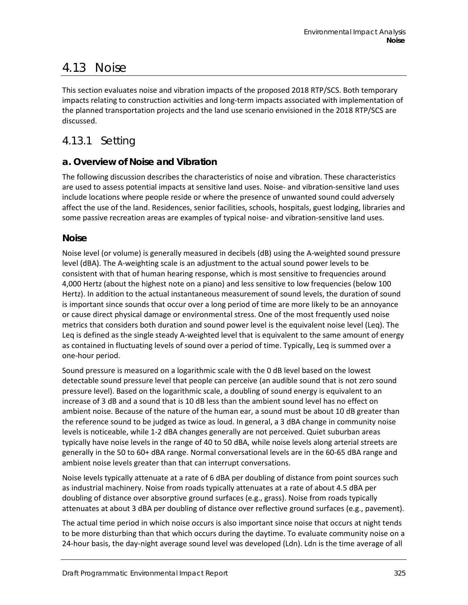# 4.13 Noise

This section evaluates noise and vibration impacts of the proposed 2018 RTP/SCS. Both temporary impacts relating to construction activities and long-term impacts associated with implementation of the planned transportation projects and the land use scenario envisioned in the 2018 RTP/SCS are discussed.

# 4.13.1 Setting

### **a. Overview of Noise and Vibration**

The following discussion describes the characteristics of noise and vibration. These characteristics are used to assess potential impacts at sensitive land uses. Noise- and vibration-sensitive land uses include locations where people reside or where the presence of unwanted sound could adversely affect the use of the land. Residences, senior facilities, schools, hospitals, guest lodging, libraries and some passive recreation areas are examples of typical noise- and vibration-sensitive land uses.

#### **Noise**

Noise level (or volume) is generally measured in decibels (dB) using the A-weighted sound pressure level (dBA). The A-weighting scale is an adjustment to the actual sound power levels to be consistent with that of human hearing response, which is most sensitive to frequencies around 4,000 Hertz (about the highest note on a piano) and less sensitive to low frequencies (below 100 Hertz). In addition to the actual instantaneous measurement of sound levels, the duration of sound is important since sounds that occur over a long period of time are more likely to be an annoyance or cause direct physical damage or environmental stress. One of the most frequently used noise metrics that considers both duration and sound power level is the equivalent noise level (Leq). The Leq is defined as the single steady A-weighted level that is equivalent to the same amount of energy as contained in fluctuating levels of sound over a period of time. Typically, Leq is summed over a one-hour period.

Sound pressure is measured on a logarithmic scale with the 0 dB level based on the lowest detectable sound pressure level that people can perceive (an audible sound that is not zero sound pressure level). Based on the logarithmic scale, a doubling of sound energy is equivalent to an increase of 3 dB and a sound that is 10 dB less than the ambient sound level has no effect on ambient noise. Because of the nature of the human ear, a sound must be about 10 dB greater than the reference sound to be judged as twice as loud. In general, a 3 dBA change in community noise levels is noticeable, while 1-2 dBA changes generally are not perceived. Quiet suburban areas typically have noise levels in the range of 40 to 50 dBA, while noise levels along arterial streets are generally in the 50 to 60+ dBA range. Normal conversational levels are in the 60-65 dBA range and ambient noise levels greater than that can interrupt conversations.

Noise levels typically attenuate at a rate of 6 dBA per doubling of distance from point sources such as industrial machinery. Noise from roads typically attenuates at a rate of about 4.5 dBA per doubling of distance over absorptive ground surfaces (e.g., grass). Noise from roads typically attenuates at about 3 dBA per doubling of distance over reflective ground surfaces (e.g., pavement).

The actual time period in which noise occurs is also important since noise that occurs at night tends to be more disturbing than that which occurs during the daytime. To evaluate community noise on a 24-hour basis, the day-night average sound level was developed (Ldn). Ldn is the time average of all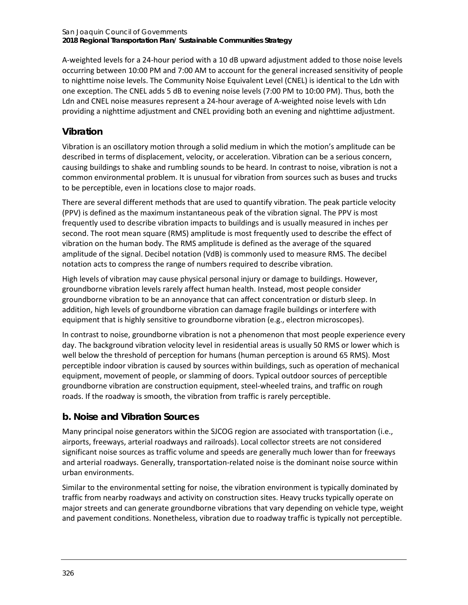A-weighted levels for a 24-hour period with a 10 dB upward adjustment added to those noise levels occurring between 10:00 PM and 7:00 AM to account for the general increased sensitivity of people to nighttime noise levels. The Community Noise Equivalent Level (CNEL) is identical to the Ldn with one exception. The CNEL adds 5 dB to evening noise levels (7:00 PM to 10:00 PM). Thus, both the Ldn and CNEL noise measures represent a 24-hour average of A-weighted noise levels with Ldn providing a nighttime adjustment and CNEL providing both an evening and nighttime adjustment.

## **Vibration**

Vibration is an oscillatory motion through a solid medium in which the motion's amplitude can be described in terms of displacement, velocity, or acceleration. Vibration can be a serious concern, causing buildings to shake and rumbling sounds to be heard. In contrast to noise, vibration is not a common environmental problem. It is unusual for vibration from sources such as buses and trucks to be perceptible, even in locations close to major roads.

There are several different methods that are used to quantify vibration. The peak particle velocity (PPV) is defined as the maximum instantaneous peak of the vibration signal. The PPV is most frequently used to describe vibration impacts to buildings and is usually measured in inches per second. The root mean square (RMS) amplitude is most frequently used to describe the effect of vibration on the human body. The RMS amplitude is defined as the average of the squared amplitude of the signal. Decibel notation (VdB) is commonly used to measure RMS. The decibel notation acts to compress the range of numbers required to describe vibration.

High levels of vibration may cause physical personal injury or damage to buildings. However, groundborne vibration levels rarely affect human health. Instead, most people consider groundborne vibration to be an annoyance that can affect concentration or disturb sleep. In addition, high levels of groundborne vibration can damage fragile buildings or interfere with equipment that is highly sensitive to groundborne vibration (e.g., electron microscopes).

In contrast to noise, groundborne vibration is not a phenomenon that most people experience every day. The background vibration velocity level in residential areas is usually 50 RMS or lower which is well below the threshold of perception for humans (human perception is around 65 RMS). Most perceptible indoor vibration is caused by sources within buildings, such as operation of mechanical equipment, movement of people, or slamming of doors. Typical outdoor sources of perceptible groundborne vibration are construction equipment, steel-wheeled trains, and traffic on rough roads. If the roadway is smooth, the vibration from traffic is rarely perceptible.

### **b. Noise and Vibration Sources**

Many principal noise generators within the SJCOG region are associated with transportation (i.e., airports, freeways, arterial roadways and railroads). Local collector streets are not considered significant noise sources as traffic volume and speeds are generally much lower than for freeways and arterial roadways. Generally, transportation-related noise is the dominant noise source within urban environments.

Similar to the environmental setting for noise, the vibration environment is typically dominated by traffic from nearby roadways and activity on construction sites. Heavy trucks typically operate on major streets and can generate groundborne vibrations that vary depending on vehicle type, weight and pavement conditions. Nonetheless, vibration due to roadway traffic is typically not perceptible.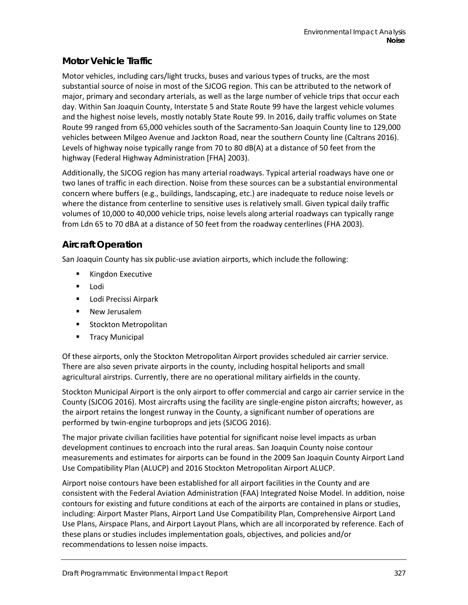### **Motor Vehicle Traffic**

Motor vehicles, including cars/light trucks, buses and various types of trucks, are the most substantial source of noise in most of the SJCOG region. This can be attributed to the network of major, primary and secondary arterials, as well as the large number of vehicle trips that occur each day. Within San Joaquin County, Interstate 5 and State Route 99 have the largest vehicle volumes and the highest noise levels, mostly notably State Route 99. In 2016, daily traffic volumes on State Route 99 ranged from 65,000 vehicles south of the Sacramento-San Joaquin County line to 129,000 vehicles between Milgeo Avenue and Jackton Road, near the southern County line (Caltrans 2016). Levels of highway noise typically range from 70 to 80 dB(A) at a distance of 50 feet from the highway (Federal Highway Administration [FHA] 2003).

Additionally, the SJCOG region has many arterial roadways. Typical arterial roadways have one or two lanes of traffic in each direction. Noise from these sources can be a substantial environmental concern where buffers (e.g., buildings, landscaping, etc.) are inadequate to reduce noise levels or where the distance from centerline to sensitive uses is relatively small. Given typical daily traffic volumes of 10,000 to 40,000 vehicle trips, noise levels along arterial roadways can typically range from Ldn 65 to 70 dBA at a distance of 50 feet from the roadway centerlines (FHA 2003).

### **Aircraft Operation**

San Joaquin County has six public-use aviation airports, which include the following:

- **Kingdon Executive**
- **Lodi**
- **Lodi Precissi Airpark**
- **New Jerusalem**
- **EXECUTE: Stockton Metropolitan**
- **Tracy Municipal**

Of these airports, only the Stockton Metropolitan Airport provides scheduled air carrier service. There are also seven private airports in the county, including hospital heliports and small agricultural airstrips. Currently, there are no operational military airfields in the county.

Stockton Municipal Airport is the only airport to offer commercial and cargo air carrier service in the County (SJCOG 2016). Most aircrafts using the facility are single-engine piston aircrafts; however, as the airport retains the longest runway in the County, a significant number of operations are performed by twin-engine turboprops and jets (SJCOG 2016).

The major private civilian facilities have potential for significant noise level impacts as urban development continues to encroach into the rural areas. San Joaquin County noise contour measurements and estimates for airports can be found in the 2009 San Joaquin County Airport Land Use Compatibility Plan (ALUCP) and 2016 Stockton Metropolitan Airport ALUCP.

Airport noise contours have been established for all airport facilities in the County and are consistent with the Federal Aviation Administration (FAA) Integrated Noise Model. In addition, noise contours for existing and future conditions at each of the airports are contained in plans or studies, including: Airport Master Plans, Airport Land Use Compatibility Plan, Comprehensive Airport Land Use Plans, Airspace Plans, and Airport Layout Plans, which are all incorporated by reference. Each of these plans or studies includes implementation goals, objectives, and policies and/or recommendations to lessen noise impacts.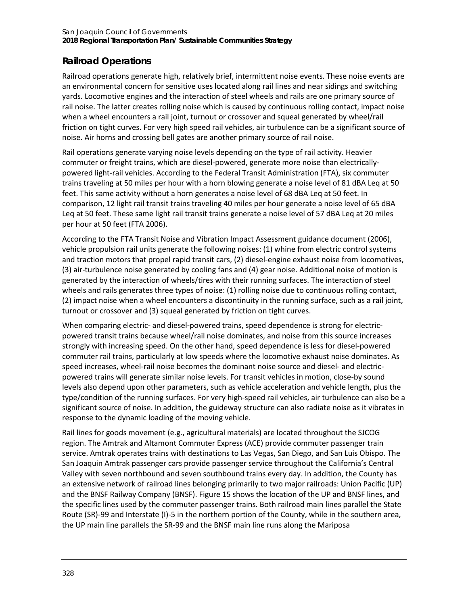## **Railroad Operations**

Railroad operations generate high, relatively brief, intermittent noise events. These noise events are an environmental concern for sensitive uses located along rail lines and near sidings and switching yards. Locomotive engines and the interaction of steel wheels and rails are one primary source of rail noise. The latter creates rolling noise which is caused by continuous rolling contact, impact noise when a wheel encounters a rail joint, turnout or crossover and squeal generated by wheel/rail friction on tight curves. For very high speed rail vehicles, air turbulence can be a significant source of noise. Air horns and crossing bell gates are another primary source of rail noise.

Rail operations generate varying noise levels depending on the type of rail activity. Heavier commuter or freight trains, which are diesel-powered, generate more noise than electricallypowered light-rail vehicles. According to the Federal Transit Administration (FTA), six commuter trains traveling at 50 miles per hour with a horn blowing generate a noise level of 81 dBA Leq at 50 feet. This same activity without a horn generates a noise level of 68 dBA Leq at 50 feet. In comparison, 12 light rail transit trains traveling 40 miles per hour generate a noise level of 65 dBA Leq at 50 feet. These same light rail transit trains generate a noise level of 57 dBA Leq at 20 miles per hour at 50 feet (FTA 2006).

According to the FTA Transit Noise and Vibration Impact Assessment guidance document (2006), vehicle propulsion rail units generate the following noises: (1) whine from electric control systems and traction motors that propel rapid transit cars, (2) diesel-engine exhaust noise from locomotives, (3) air-turbulence noise generated by cooling fans and (4) gear noise. Additional noise of motion is generated by the interaction of wheels/tires with their running surfaces. The interaction of steel wheels and rails generates three types of noise: (1) rolling noise due to continuous rolling contact, (2) impact noise when a wheel encounters a discontinuity in the running surface, such as a rail joint, turnout or crossover and (3) squeal generated by friction on tight curves.

When comparing electric- and diesel-powered trains, speed dependence is strong for electricpowered transit trains because wheel/rail noise dominates, and noise from this source increases strongly with increasing speed. On the other hand, speed dependence is less for diesel-powered commuter rail trains, particularly at low speeds where the locomotive exhaust noise dominates. As speed increases, wheel-rail noise becomes the dominant noise source and diesel- and electricpowered trains will generate similar noise levels. For transit vehicles in motion, close-by sound levels also depend upon other parameters, such as vehicle acceleration and vehicle length, plus the type/condition of the running surfaces. For very high-speed rail vehicles, air turbulence can also be a significant source of noise. In addition, the guideway structure can also radiate noise as it vibrates in response to the dynamic loading of the moving vehicle.

Rail lines for goods movement (e.g., agricultural materials) are located throughout the SJCOG region. The Amtrak and Altamont Commuter Express (ACE) provide commuter passenger train service. Amtrak operates trains with destinations to Las Vegas, San Diego, and San Luis Obispo. The San Joaquin Amtrak passenger cars provide passenger service throughout the California's Central Valley with seven northbound and seven southbound trains every day. In addition, the County has an extensive network of railroad lines belonging primarily to two major railroads: Union Pacific (UP) and the BNSF Railway Company (BNSF)[. Figure 15](#page-4-0) shows the location of the UP and BNSF lines, and the specific lines used by the commuter passenger trains. Both railroad main lines parallel the State Route (SR)-99 and Interstate (I)-5 in the northern portion of the County, while in the southern area, the UP main line parallels the SR-99 and the BNSF main line runs along the Mariposa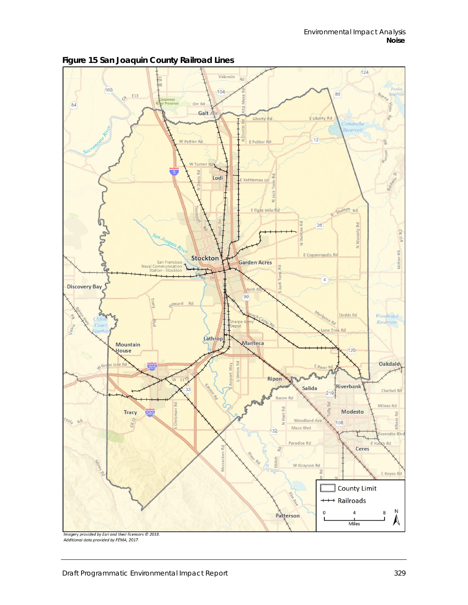

<span id="page-4-0"></span>**Figure 15 San Joaquin County Railroad Lines**

Additional data provided by FEMA, 2017.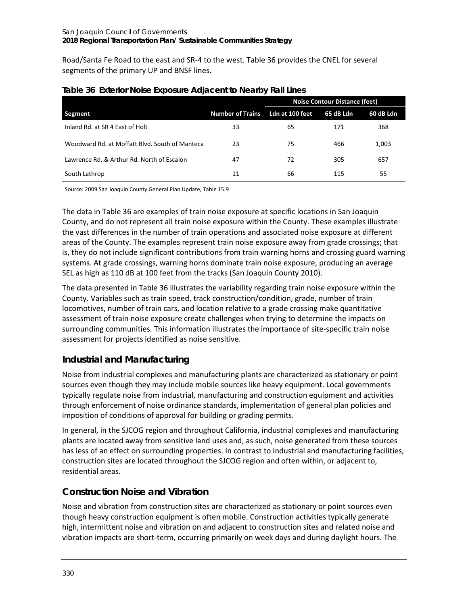<span id="page-5-0"></span>Road/Santa Fe Road to the east and SR-4 to the west[. Table 36](#page-5-0) provides the CNEL for several segments of the primary UP and BNSF lines.

|                                                                 |                         | <b>Noise Contour Distance (feet)</b> |           |           |  |
|-----------------------------------------------------------------|-------------------------|--------------------------------------|-----------|-----------|--|
| Segment                                                         | <b>Number of Trains</b> | Ldn at 100 feet                      | 65 dB Ldn | 60 dB Ldn |  |
| Inland Rd. at SR 4 East of Holt                                 | 33                      | 65                                   | 171       | 368       |  |
| Woodward Rd. at Moffatt Blyd. South of Manteca                  | 23                      | 75                                   | 466       | 1,003     |  |
| Lawrence Rd. & Arthur Rd. North of Escalon                      | 47                      | 72                                   | 305       | 657       |  |
| South Lathrop                                                   | 11                      | 66                                   | 115       | 55        |  |
| Source: 2009 San Joaquin County General Plan Update, Table 15.9 |                         |                                      |           |           |  |

#### **Table 36 Exterior Noise Exposure Adjacent to Nearby Rail Lines**

The data i[n Table 36](#page-5-0) are examples of train noise exposure at specific locations in San Joaquin County, and do not represent all train noise exposure within the County. These examples illustrate the vast differences in the number of train operations and associated noise exposure at different areas of the County. The examples represent train noise exposure away from grade crossings; that is, they do not include significant contributions from train warning horns and crossing guard warning systems. At grade crossings, warning horns dominate train noise exposure, producing an average SEL as high as 110 dB at 100 feet from the tracks (San Joaquin County 2010).

The data presented in [Table 36](#page-5-0) illustrates the variability regarding train noise exposure within the County. Variables such as train speed, track construction/condition, grade, number of train locomotives, number of train cars, and location relative to a grade crossing make quantitative assessment of train noise exposure create challenges when trying to determine the impacts on surrounding communities. This information illustrates the importance of site-specific train noise assessment for projects identified as noise sensitive.

## **Industrial and Manufacturing**

Noise from industrial complexes and manufacturing plants are characterized as stationary or point sources even though they may include mobile sources like heavy equipment. Local governments typically regulate noise from industrial, manufacturing and construction equipment and activities through enforcement of noise ordinance standards, implementation of general plan policies and imposition of conditions of approval for building or grading permits.

In general, in the SJCOG region and throughout California, industrial complexes and manufacturing plants are located away from sensitive land uses and, as such, noise generated from these sources has less of an effect on surrounding properties. In contrast to industrial and manufacturing facilities, construction sites are located throughout the SJCOG region and often within, or adjacent to, residential areas.

## **Construction Noise and Vibration**

Noise and vibration from construction sites are characterized as stationary or point sources even though heavy construction equipment is often mobile. Construction activities typically generate high, intermittent noise and vibration on and adjacent to construction sites and related noise and vibration impacts are short-term, occurring primarily on week days and during daylight hours. The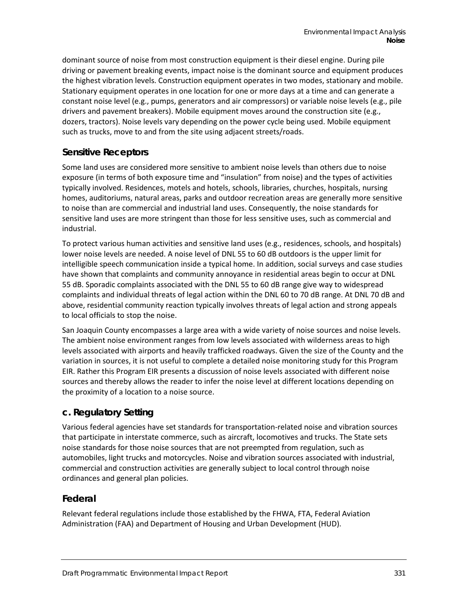dominant source of noise from most construction equipment is their diesel engine. During pile driving or pavement breaking events, impact noise is the dominant source and equipment produces the highest vibration levels. Construction equipment operates in two modes, stationary and mobile. Stationary equipment operates in one location for one or more days at a time and can generate a constant noise level (e.g., pumps, generators and air compressors) or variable noise levels (e.g., pile drivers and pavement breakers). Mobile equipment moves around the construction site (e.g., dozers, tractors). Noise levels vary depending on the power cycle being used. Mobile equipment such as trucks, move to and from the site using adjacent streets/roads.

#### **Sensitive Receptors**

Some land uses are considered more sensitive to ambient noise levels than others due to noise exposure (in terms of both exposure time and "insulation" from noise) and the types of activities typically involved. Residences, motels and hotels, schools, libraries, churches, hospitals, nursing homes, auditoriums, natural areas, parks and outdoor recreation areas are generally more sensitive to noise than are commercial and industrial land uses. Consequently, the noise standards for sensitive land uses are more stringent than those for less sensitive uses, such as commercial and industrial.

To protect various human activities and sensitive land uses (e.g., residences, schools, and hospitals) lower noise levels are needed. A noise level of DNL 55 to 60 dB outdoors is the upper limit for intelligible speech communication inside a typical home. In addition, social surveys and case studies have shown that complaints and community annoyance in residential areas begin to occur at DNL 55 dB. Sporadic complaints associated with the DNL 55 to 60 dB range give way to widespread complaints and individual threats of legal action within the DNL 60 to 70 dB range. At DNL 70 dB and above, residential community reaction typically involves threats of legal action and strong appeals to local officials to stop the noise.

San Joaquin County encompasses a large area with a wide variety of noise sources and noise levels. The ambient noise environment ranges from low levels associated with wilderness areas to high levels associated with airports and heavily trafficked roadways. Given the size of the County and the variation in sources, it is not useful to complete a detailed noise monitoring study for this Program EIR. Rather this Program EIR presents a discussion of noise levels associated with different noise sources and thereby allows the reader to infer the noise level at different locations depending on the proximity of a location to a noise source.

#### **c. Regulatory Setting**

Various federal agencies have set standards for transportation-related noise and vibration sources that participate in interstate commerce, such as aircraft, locomotives and trucks. The State sets noise standards for those noise sources that are not preempted from regulation, such as automobiles, light trucks and motorcycles. Noise and vibration sources associated with industrial, commercial and construction activities are generally subject to local control through noise ordinances and general plan policies.

#### **Federal**

Relevant federal regulations include those established by the FHWA, FTA, Federal Aviation Administration (FAA) and Department of Housing and Urban Development (HUD).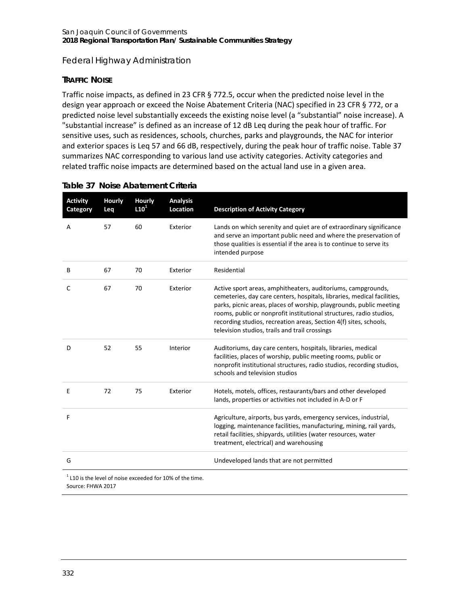#### *Federal Highway Administration*

#### **TRAFFIC NOISE**

Traffic noise impacts, as defined in 23 CFR § 772.5, occur when the predicted noise level in the design year approach or exceed the Noise Abatement Criteria (NAC) specified in 23 CFR § 772, or a predicted noise level substantially exceeds the existing noise level (a "substantial" noise increase). A "substantial increase" is defined as an increase of 12 dB Leq during the peak hour of traffic. For sensitive uses, such as residences, schools, churches, parks and playgrounds, the NAC for interior and exterior spaces is Leq 57 and 66 dB, respectively, during the peak hour of traffic noise. [Table 37](#page-7-0) summarizes NAC corresponding to various land use activity categories. Activity categories and related traffic noise impacts are determined based on the actual land use in a given area.

| <b>Activity</b><br>Category                                                      | <b>Hourly</b><br>Leq | <b>Hourly</b><br>L10 <sup>1</sup> | <b>Analysis</b><br>Location | <b>Description of Activity Category</b>                                                                                                                                                                                                                                                                                                                                                                      |
|----------------------------------------------------------------------------------|----------------------|-----------------------------------|-----------------------------|--------------------------------------------------------------------------------------------------------------------------------------------------------------------------------------------------------------------------------------------------------------------------------------------------------------------------------------------------------------------------------------------------------------|
| Α                                                                                | 57                   | 60                                | Exterior                    | Lands on which serenity and quiet are of extraordinary significance<br>and serve an important public need and where the preservation of<br>those qualities is essential if the area is to continue to serve its<br>intended purpose                                                                                                                                                                          |
| В                                                                                | 67                   | 70                                | Exterior                    | Residential                                                                                                                                                                                                                                                                                                                                                                                                  |
| C                                                                                | 67                   | 70                                | Exterior                    | Active sport areas, amphitheaters, auditoriums, campgrounds,<br>cemeteries, day care centers, hospitals, libraries, medical facilities,<br>parks, picnic areas, places of worship, playgrounds, public meeting<br>rooms, public or nonprofit institutional structures, radio studios,<br>recording studios, recreation areas, Section 4(f) sites, schools,<br>television studios, trails and trail crossings |
| D                                                                                | 52                   | 55                                | Interior                    | Auditoriums, day care centers, hospitals, libraries, medical<br>facilities, places of worship, public meeting rooms, public or<br>nonprofit institutional structures, radio studios, recording studios,<br>schools and television studios                                                                                                                                                                    |
| Ε                                                                                | 72                   | 75                                | Exterior                    | Hotels, motels, offices, restaurants/bars and other developed<br>lands, properties or activities not included in A-D or F                                                                                                                                                                                                                                                                                    |
| F                                                                                |                      |                                   |                             | Agriculture, airports, bus yards, emergency services, industrial,<br>logging, maintenance facilities, manufacturing, mining, rail yards,<br>retail facilities, shipyards, utilities (water resources, water<br>treatment, electrical) and warehousing                                                                                                                                                        |
| G                                                                                |                      |                                   |                             | Undeveloped lands that are not permitted                                                                                                                                                                                                                                                                                                                                                                     |
| $1$ L10 is the level of noise exceeded for 10% of the time.<br>Source: FHWA 2017 |                      |                                   |                             |                                                                                                                                                                                                                                                                                                                                                                                                              |

#### <span id="page-7-0"></span>**Table 37 Noise Abatement Criteria**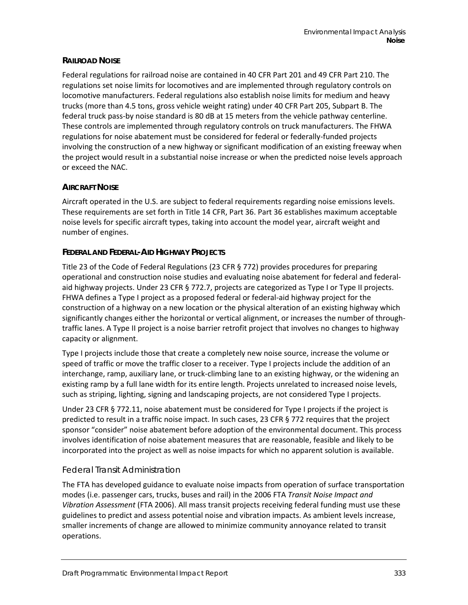#### **RAILROAD NOISE**

Federal regulations for railroad noise are contained in 40 CFR Part 201 and 49 CFR Part 210. The regulations set noise limits for locomotives and are implemented through regulatory controls on locomotive manufacturers. Federal regulations also establish noise limits for medium and heavy trucks (more than 4.5 tons, gross vehicle weight rating) under 40 CFR Part 205, Subpart B. The federal truck pass-by noise standard is 80 dB at 15 meters from the vehicle pathway centerline. These controls are implemented through regulatory controls on truck manufacturers. The FHWA regulations for noise abatement must be considered for federal or federally-funded projects involving the construction of a new highway or significant modification of an existing freeway when the project would result in a substantial noise increase or when the predicted noise levels approach or exceed the NAC.

#### **AIRCRAFT NOISE**

Aircraft operated in the U.S. are subject to federal requirements regarding noise emissions levels. These requirements are set forth in Title 14 CFR, Part 36. Part 36 establishes maximum acceptable noise levels for specific aircraft types, taking into account the model year, aircraft weight and number of engines.

#### **FEDERAL AND FEDERAL-AID HIGHWAY PROJECTS**

Title 23 of the Code of Federal Regulations (23 CFR § 772) provides procedures for preparing operational and construction noise studies and evaluating noise abatement for federal and federalaid highway projects. Under 23 CFR § 772.7, projects are categorized as Type I or Type II projects. FHWA defines a Type I project as a proposed federal or federal-aid highway project for the construction of a highway on a new location or the physical alteration of an existing highway which significantly changes either the horizontal or vertical alignment, or increases the number of throughtraffic lanes. A Type II project is a noise barrier retrofit project that involves no changes to highway capacity or alignment.

Type I projects include those that create a completely new noise source, increase the volume or speed of traffic or move the traffic closer to a receiver. Type I projects include the addition of an interchange, ramp, auxiliary lane, or truck-climbing lane to an existing highway, or the widening an existing ramp by a full lane width for its entire length. Projects unrelated to increased noise levels, such as striping, lighting, signing and landscaping projects, are not considered Type I projects.

Under 23 CFR § 772.11, noise abatement must be considered for Type I projects if the project is predicted to result in a traffic noise impact. In such cases, 23 CFR § 772 requires that the project sponsor "consider" noise abatement before adoption of the environmental document. This process involves identification of noise abatement measures that are reasonable, feasible and likely to be incorporated into the project as well as noise impacts for which no apparent solution is available.

#### *Federal Transit Administration*

The FTA has developed guidance to evaluate noise impacts from operation of surface transportation modes (i.e. passenger cars, trucks, buses and rail) in the 2006 FTA *Transit Noise Impact and Vibration Assessment* (FTA 2006). All mass transit projects receiving federal funding must use these guidelines to predict and assess potential noise and vibration impacts. As ambient levels increase, smaller increments of change are allowed to minimize community annoyance related to transit operations.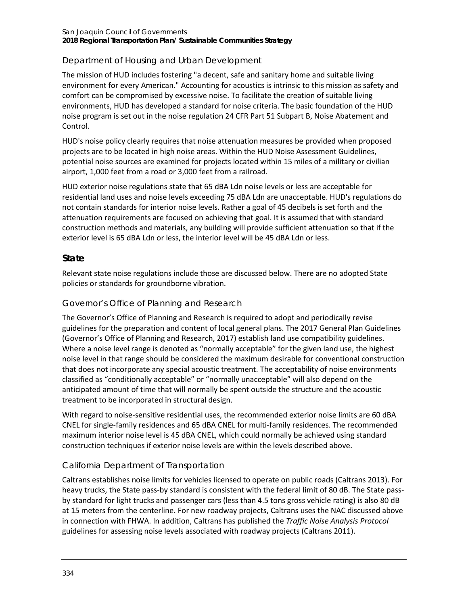#### San Joaquin Council of Governments **2018 Regional Transportation Plan/ Sustainable Communities Strategy**

#### *Department of Housing and Urban Development*

The mission of HUD includes fostering "a decent, safe and sanitary home and suitable living environment for every American." Accounting for acoustics is intrinsic to this mission as safety and comfort can be compromised by excessive noise. To facilitate the creation of suitable living environments, HUD has developed a standard for noise criteria. The basic foundation of the HUD noise program is set out in the noise regulation 24 CFR Part 51 Subpart B, Noise Abatement and Control.

HUD's noise policy clearly requires that noise attenuation measures be provided when proposed projects are to be located in high noise areas. Within the HUD Noise Assessment Guidelines, potential noise sources are examined for projects located within 15 miles of a military or civilian airport, 1,000 feet from a road or 3,000 feet from a railroad.

HUD exterior noise regulations state that 65 dBA Ldn noise levels or less are acceptable for residential land uses and noise levels exceeding 75 dBA Ldn are unacceptable. HUD's regulations do not contain standards for interior noise levels. Rather a goal of 45 decibels is set forth and the attenuation requirements are focused on achieving that goal. It is assumed that with standard construction methods and materials, any building will provide sufficient attenuation so that if the exterior level is 65 dBA Ldn or less, the interior level will be 45 dBA Ldn or less.

#### **State**

Relevant state noise regulations include those are discussed below. There are no adopted State policies or standards for groundborne vibration.

#### *Governor's Office of Planning and Research*

The Governor's Office of Planning and Research is required to adopt and periodically revise guidelines for the preparation and content of local general plans. The 2017 General Plan Guidelines (Governor's Office of Planning and Research, 2017) establish land use compatibility guidelines. Where a noise level range is denoted as "normally acceptable" for the given land use, the highest noise level in that range should be considered the maximum desirable for conventional construction that does not incorporate any special acoustic treatment. The acceptability of noise environments classified as "conditionally acceptable" or "normally unacceptable" will also depend on the anticipated amount of time that will normally be spent outside the structure and the acoustic treatment to be incorporated in structural design.

With regard to noise-sensitive residential uses, the recommended exterior noise limits are 60 dBA CNEL for single-family residences and 65 dBA CNEL for multi-family residences. The recommended maximum interior noise level is 45 dBA CNEL, which could normally be achieved using standard construction techniques if exterior noise levels are within the levels described above.

#### *California Department of Transportation*

Caltrans establishes noise limits for vehicles licensed to operate on public roads (Caltrans 2013). For heavy trucks, the State pass-by standard is consistent with the federal limit of 80 dB. The State passby standard for light trucks and passenger cars (less than 4.5 tons gross vehicle rating) is also 80 dB at 15 meters from the centerline. For new roadway projects, Caltrans uses the NAC discussed above in connection with FHWA. In addition, Caltrans has published the *Traffic Noise Analysis Protocol* guidelines for assessing noise levels associated with roadway projects (Caltrans 2011).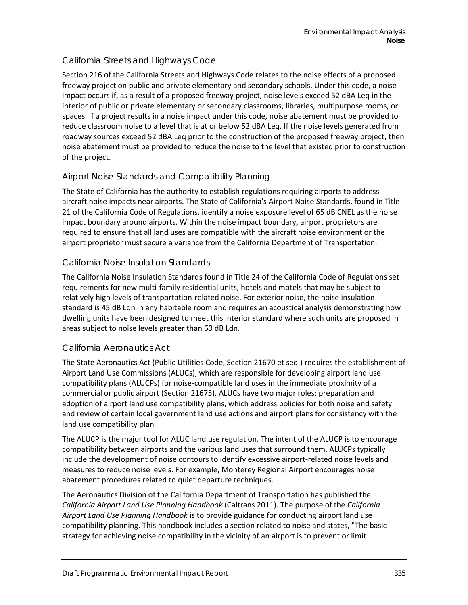#### *California Streets and Highways Code*

Section 216 of the California Streets and Highways Code relates to the noise effects of a proposed freeway project on public and private elementary and secondary schools. Under this code, a noise impact occurs if, as a result of a proposed freeway project, noise levels exceed 52 dBA Leq in the interior of public or private elementary or secondary classrooms, libraries, multipurpose rooms, or spaces. If a project results in a noise impact under this code, noise abatement must be provided to reduce classroom noise to a level that is at or below 52 dBA Leq. If the noise levels generated from roadway sources exceed 52 dBA Leq prior to the construction of the proposed freeway project, then noise abatement must be provided to reduce the noise to the level that existed prior to construction of the project.

#### *Airport Noise Standards and Compatibility Planning*

The State of California has the authority to establish regulations requiring airports to address aircraft noise impacts near airports. The State of California's Airport Noise Standards, found in Title 21 of the California Code of Regulations, identify a noise exposure level of 65 dB CNEL as the noise impact boundary around airports. Within the noise impact boundary, airport proprietors are required to ensure that all land uses are compatible with the aircraft noise environment or the airport proprietor must secure a variance from the California Department of Transportation.

#### *California Noise Insulation Standards*

The California Noise Insulation Standards found in Title 24 of the California Code of Regulations set requirements for new multi-family residential units, hotels and motels that may be subject to relatively high levels of transportation-related noise. For exterior noise, the noise insulation standard is 45 dB Ldn in any habitable room and requires an acoustical analysis demonstrating how dwelling units have been designed to meet this interior standard where such units are proposed in areas subject to noise levels greater than 60 dB Ldn.

#### *California Aeronautics Act*

The State Aeronautics Act (Public Utilities Code, Section 21670 et seq.) requires the establishment of Airport Land Use Commissions (ALUCs), which are responsible for developing airport land use compatibility plans (ALUCPs) for noise-compatible land uses in the immediate proximity of a commercial or public airport (Section 21675). ALUCs have two major roles: preparation and adoption of airport land use compatibility plans, which address policies for both noise and safety and review of certain local government land use actions and airport plans for consistency with the land use compatibility plan

The ALUCP is the major tool for ALUC land use regulation. The intent of the ALUCP is to encourage compatibility between airports and the various land uses that surround them. ALUCPs typically include the development of noise contours to identify excessive airport-related noise levels and measures to reduce noise levels. For example, Monterey Regional Airport encourages noise abatement procedures related to quiet departure techniques.

The Aeronautics Division of the California Department of Transportation has published the *California Airport Land Use Planning Handbook* (Caltrans 2011). The purpose of the *California Airport Land Use Planning Handbook* is to provide guidance for conducting airport land use compatibility planning. This handbook includes a section related to noise and states, "The basic strategy for achieving noise compatibility in the vicinity of an airport is to prevent or limit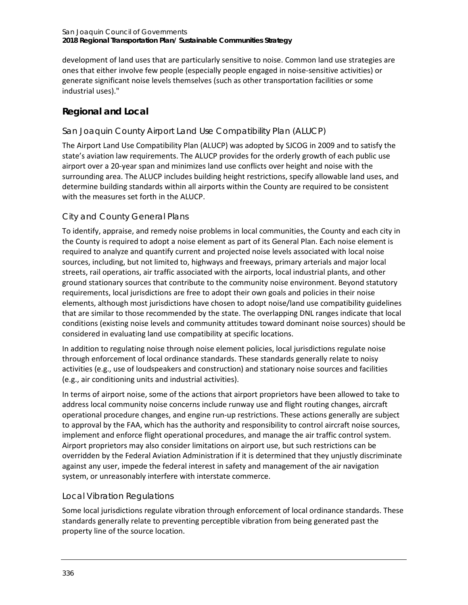development of land uses that are particularly sensitive to noise. Common land use strategies are ones that either involve few people (especially people engaged in noise-sensitive activities) or generate significant noise levels themselves (such as other transportation facilities or some industrial uses)."

## **Regional and Local**

### *San Joaquin County Airport Land Use Compatibility Plan (ALUCP)*

The Airport Land Use Compatibility Plan (ALUCP) was adopted by SJCOG in 2009 and to satisfy the state's aviation law requirements. The ALUCP provides for the orderly growth of each public use airport over a 20-year span and minimizes land use conflicts over height and noise with the surrounding area. The ALUCP includes building height restrictions, specify allowable land uses, and determine building standards within all airports within the County are required to be consistent with the measures set forth in the ALUCP.

## *City and County General Plans*

To identify, appraise, and remedy noise problems in local communities, the County and each city in the County is required to adopt a noise element as part of its General Plan. Each noise element is required to analyze and quantify current and projected noise levels associated with local noise sources, including, but not limited to, highways and freeways, primary arterials and major local streets, rail operations, air traffic associated with the airports, local industrial plants, and other ground stationary sources that contribute to the community noise environment. Beyond statutory requirements, local jurisdictions are free to adopt their own goals and policies in their noise elements, although most jurisdictions have chosen to adopt noise/land use compatibility guidelines that are similar to those recommended by the state. The overlapping DNL ranges indicate that local conditions (existing noise levels and community attitudes toward dominant noise sources) should be considered in evaluating land use compatibility at specific locations.

In addition to regulating noise through noise element policies, local jurisdictions regulate noise through enforcement of local ordinance standards. These standards generally relate to noisy activities (e.g., use of loudspeakers and construction) and stationary noise sources and facilities (e.g., air conditioning units and industrial activities).

In terms of airport noise, some of the actions that airport proprietors have been allowed to take to address local community noise concerns include runway use and flight routing changes, aircraft operational procedure changes, and engine run-up restrictions. These actions generally are subject to approval by the FAA, which has the authority and responsibility to control aircraft noise sources, implement and enforce flight operational procedures, and manage the air traffic control system. Airport proprietors may also consider limitations on airport use, but such restrictions can be overridden by the Federal Aviation Administration if it is determined that they unjustly discriminate against any user, impede the federal interest in safety and management of the air navigation system, or unreasonably interfere with interstate commerce.

### *Local Vibration Regulations*

Some local jurisdictions regulate vibration through enforcement of local ordinance standards. These standards generally relate to preventing perceptible vibration from being generated past the property line of the source location.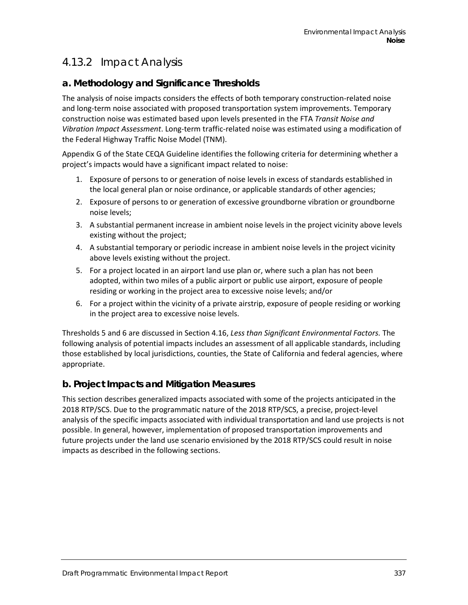# 4.13.2 Impact Analysis

## **a. Methodology and Significance Thresholds**

The analysis of noise impacts considers the effects of both temporary construction-related noise and long-term noise associated with proposed transportation system improvements. Temporary construction noise was estimated based upon levels presented in the FTA *Transit Noise and Vibration Impact Assessment*. Long-term traffic-related noise was estimated using a modification of the Federal Highway Traffic Noise Model (TNM).

Appendix G of the State CEQA Guideline identifies the following criteria for determining whether a project's impacts would have a significant impact related to noise:

- 1. Exposure of persons to or generation of noise levels in excess of standards established in the local general plan or noise ordinance, or applicable standards of other agencies;
- 2. Exposure of persons to or generation of excessive groundborne vibration or groundborne noise levels;
- 3. A substantial permanent increase in ambient noise levels in the project vicinity above levels existing without the project;
- 4. A substantial temporary or periodic increase in ambient noise levels in the project vicinity above levels existing without the project.
- 5. For a project located in an airport land use plan or, where such a plan has not been adopted, within two miles of a public airport or public use airport, exposure of people residing or working in the project area to excessive noise levels; and/or
- 6. For a project within the vicinity of a private airstrip, exposure of people residing or working in the project area to excessive noise levels.

Thresholds 5 and 6 are discussed in Section 4.16, *Less than Significant Environmental Factors.* The following analysis of potential impacts includes an assessment of all applicable standards, including those established by local jurisdictions, counties, the State of California and federal agencies, where appropriate.

### **b. Project Impacts and Mitigation Measures**

This section describes generalized impacts associated with some of the projects anticipated in the 2018 RTP/SCS. Due to the programmatic nature of the 2018 RTP/SCS, a precise, project-level analysis of the specific impacts associated with individual transportation and land use projects is not possible. In general, however, implementation of proposed transportation improvements and future projects under the land use scenario envisioned by the 2018 RTP/SCS could result in noise impacts as described in the following sections.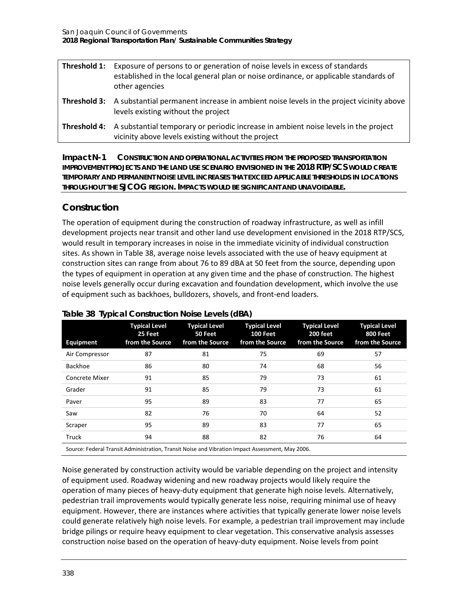| Threshold 1: | Exposure of persons to or generation of noise levels in excess of standards<br>established in the local general plan or noise ordinance, or applicable standards of |
|--------------|---------------------------------------------------------------------------------------------------------------------------------------------------------------------|
|              | other agencies<br><b>Threshold 3:</b> A substantial permanent increase in ambient noise levels in the project vicinity above<br>levels existing without the project |
|              | <b>Threshold 4:</b> A substantial temporary or periodic increase in ambient noise levels in the project<br>vicinity above levels existing without the project       |

**Impact N-1 CONSTRUCTION AND OPERATIONAL ACTIVITIES FROM THE PROPOSED TRANSPORTATION IMPROVEMENT PROJECTS AND THE LAND USE SCENARIO ENVISIONED IN THE 2018 RTP/SCS WOULD CREATE TEMPORARY AND PERMANENT NOISE LEVEL INCREASES THAT EXCEED APPLICABLE THRESHOLDS IN LOCATIONS THROUGHOUT THE SJCOG REGION. IMPACTS WOULD BE SIGNIFICANT AND UNAVOIDABLE***.*

#### **Construction**

The operation of equipment during the construction of roadway infrastructure, as well as infill development projects near transit and other land use development envisioned in the 2018 RTP/SCS, would result in temporary increases in noise in the immediate vicinity of individual construction sites. As shown in [Table 38,](#page-13-0) average noise levels associated with the use of heavy equipment at construction sites can range from about 76 to 89 dBA at 50 feet from the source, depending upon the types of equipment in operation at any given time and the phase of construction. The highest noise levels generally occur during excavation and foundation development, which involve the use of equipment such as backhoes, bulldozers, shovels, and front-end loaders.

| Equipment      | <b>Typical Level</b><br>25 Feet<br>from the Source                                              | <b>Typical Level</b><br>50 Feet<br>from the Source | <b>Typical Level</b><br><b>100 Feet</b><br>from the Source | <b>Typical Level</b><br>200 feet<br>from the Source | <b>Typical Level</b><br><b>800 Feet</b><br>from the Source |
|----------------|-------------------------------------------------------------------------------------------------|----------------------------------------------------|------------------------------------------------------------|-----------------------------------------------------|------------------------------------------------------------|
| Air Compressor | 87                                                                                              | 81                                                 | 75                                                         | 69                                                  | 57                                                         |
| Backhoe        | 86                                                                                              | 80                                                 | 74                                                         | 68                                                  | 56                                                         |
| Concrete Mixer | 91                                                                                              | 85                                                 | 79                                                         | 73                                                  | 61                                                         |
| Grader         | 91                                                                                              | 85                                                 | 79                                                         | 73                                                  | 61                                                         |
| Paver          | 95                                                                                              | 89                                                 | 83                                                         | 77                                                  | 65                                                         |
| Saw            | 82                                                                                              | 76                                                 | 70                                                         | 64                                                  | 52                                                         |
| Scraper        | 95                                                                                              | 89                                                 | 83                                                         | 77                                                  | 65                                                         |
| Truck          | 94                                                                                              | 88                                                 | 82                                                         | 76                                                  | 64                                                         |
|                | Course: Eadaral Transit Administration Transit Naise and Vibration Impact Assoccement, May 2006 |                                                    |                                                            |                                                     |                                                            |

#### <span id="page-13-0"></span>**Table 38 Typical Construction Noise Levels (dBA)**

Source: Federal Transit Administration, Transit Noise and Vibration Impact Assessment, May 2006.

Noise generated by construction activity would be variable depending on the project and intensity of equipment used. Roadway widening and new roadway projects would likely require the operation of many pieces of heavy-duty equipment that generate high noise levels. Alternatively, pedestrian trail improvements would typically generate less noise, requiring minimal use of heavy equipment. However, there are instances where activities that typically generate lower noise levels could generate relatively high noise levels. For example, a pedestrian trail improvement may include bridge pilings or require heavy equipment to clear vegetation. This conservative analysis assesses construction noise based on the operation of heavy-duty equipment. Noise levels from point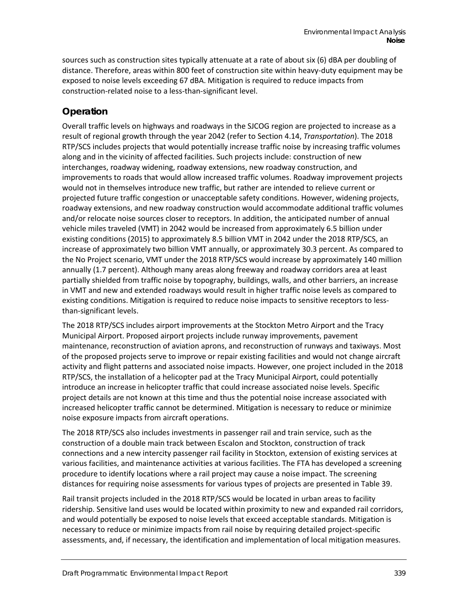sources such as construction sites typically attenuate at a rate of about six (6) dBA per doubling of distance. Therefore, areas within 800 feet of construction site within heavy-duty equipment may be exposed to noise levels exceeding 67 dBA. Mitigation is required to reduce impacts from construction-related noise to a less-than-significant level.

### **Operation**

Overall traffic levels on highways and roadways in the SJCOG region are projected to increase as a result of regional growth through the year 2042 (refer to Section 4.14, *Transportation*). The 2018 RTP/SCS includes projects that would potentially increase traffic noise by increasing traffic volumes along and in the vicinity of affected facilities. Such projects include: construction of new interchanges, roadway widening, roadway extensions, new roadway construction, and improvements to roads that would allow increased traffic volumes. Roadway improvement projects would not in themselves introduce new traffic, but rather are intended to relieve current or projected future traffic congestion or unacceptable safety conditions. However, widening projects, roadway extensions, and new roadway construction would accommodate additional traffic volumes and/or relocate noise sources closer to receptors. In addition, the anticipated number of annual vehicle miles traveled (VMT) in 2042 would be increased from approximately 6.5 billion under existing conditions (2015) to approximately 8.5 billion VMT in 2042 under the 2018 RTP/SCS, an increase of approximately two billion VMT annually, or approximately 30.3 percent. As compared to the No Project scenario, VMT under the 2018 RTP/SCS would increase by approximately 140 million annually (1.7 percent). Although many areas along freeway and roadway corridors area at least partially shielded from traffic noise by topography, buildings, walls, and other barriers, an increase in VMT and new and extended roadways would result in higher traffic noise levels as compared to existing conditions. Mitigation is required to reduce noise impacts to sensitive receptors to lessthan-significant levels.

The 2018 RTP/SCS includes airport improvements at the Stockton Metro Airport and the Tracy Municipal Airport. Proposed airport projects include runway improvements, pavement maintenance, reconstruction of aviation aprons, and reconstruction of runways and taxiways. Most of the proposed projects serve to improve or repair existing facilities and would not change aircraft activity and flight patterns and associated noise impacts. However, one project included in the 2018 RTP/SCS, the installation of a helicopter pad at the Tracy Municipal Airport, could potentially introduce an increase in helicopter traffic that could increase associated noise levels. Specific project details are not known at this time and thus the potential noise increase associated with increased helicopter traffic cannot be determined. Mitigation is necessary to reduce or minimize noise exposure impacts from aircraft operations.

The 2018 RTP/SCS also includes investments in passenger rail and train service, such as the construction of a double main track between Escalon and Stockton, construction of track connections and a new intercity passenger rail facility in Stockton, extension of existing services at various facilities, and maintenance activities at various facilities. The FTA has developed a screening procedure to identify locations where a rail project may cause a noise impact. The screening distances for requiring noise assessments for various types of projects are presented i[n Table 39.](#page-15-0)

Rail transit projects included in the 2018 RTP/SCS would be located in urban areas to facility ridership. Sensitive land uses would be located within proximity to new and expanded rail corridors, and would potentially be exposed to noise levels that exceed acceptable standards. Mitigation is necessary to reduce or minimize impacts from rail noise by requiring detailed project-specific assessments, and, if necessary, the identification and implementation of local mitigation measures.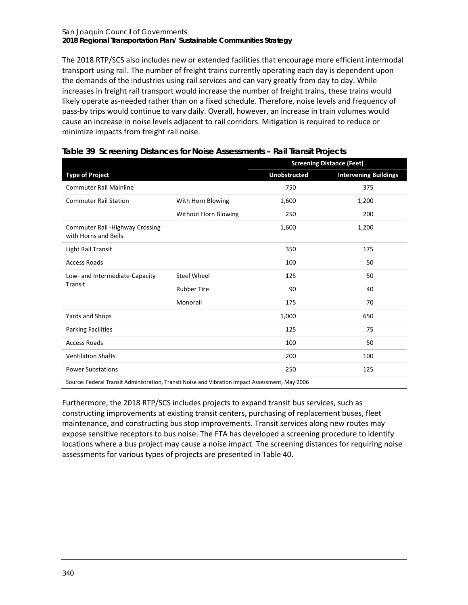#### San Joaquin Council of Governments **2018 Regional Transportation Plan/ Sustainable Communities Strategy**

The 2018 RTP/SCS also includes new or extended facilities that encourage more efficient intermodal transport using rail. The number of freight trains currently operating each day is dependent upon the demands of the industries using rail services and can vary greatly from day to day. While increases in freight rail transport would increase the number of freight trains, these trains would likely operate as-needed rather than on a fixed schedule. Therefore, noise levels and frequency of pass-by trips would continue to vary daily. Overall, however, an increase in train volumes would cause an increase in noise levels adjacent to rail corridors. Mitigation is required to reduce or minimize impacts from freight rail noise.

|                                                                                                 |                      | <b>Screening Distance (Feet)</b> |                              |  |
|-------------------------------------------------------------------------------------------------|----------------------|----------------------------------|------------------------------|--|
| <b>Type of Project</b>                                                                          |                      | <b>Unobstructed</b>              | <b>Intervening Buildings</b> |  |
| <b>Commuter Rail Mainline</b>                                                                   |                      | 750                              | 375                          |  |
| <b>Commuter Rail Station</b>                                                                    | With Horn Blowing    | 1,600                            | 1,200                        |  |
|                                                                                                 | Without Horn Blowing | 250                              | 200                          |  |
| <b>Commuter Rail -Highway Crossing</b><br>with Horns and Bells                                  |                      | 1,600                            | 1,200                        |  |
| Light Rail Transit                                                                              |                      | 350                              | 175                          |  |
| <b>Access Roads</b>                                                                             |                      | 100                              | 50                           |  |
| Low- and Intermediate-Capacity                                                                  | <b>Steel Wheel</b>   | 125                              | 50                           |  |
| Transit                                                                                         | <b>Rubber Tire</b>   | 90                               | 40                           |  |
|                                                                                                 | Monorail             | 175                              | 70                           |  |
| Yards and Shops                                                                                 |                      | 1,000                            | 650                          |  |
| <b>Parking Facilities</b>                                                                       |                      | 125                              | 75                           |  |
| <b>Access Roads</b>                                                                             |                      | 100                              | 50                           |  |
| <b>Ventilation Shafts</b>                                                                       |                      | 200                              | 100                          |  |
| <b>Power Substations</b>                                                                        |                      | 250                              | 125                          |  |
| Source: Federal Transit Administration, Transit Noise and Vibration Impact Assessment, May 2006 |                      |                                  |                              |  |

#### <span id="page-15-0"></span>**Table 39 Screening Distances for Noise Assessments – Rail Transit Projects**

Furthermore, the 2018 RTP/SCS includes projects to expand transit bus services, such as constructing improvements at existing transit centers, purchasing of replacement buses, fleet maintenance, and constructing bus stop improvements. Transit services along new routes may expose sensitive receptors to bus noise. The FTA has developed a screening procedure to identify locations where a bus project may cause a noise impact. The screening distances for requiring noise assessments for various types of projects are presented in [Table 40.](#page-16-0)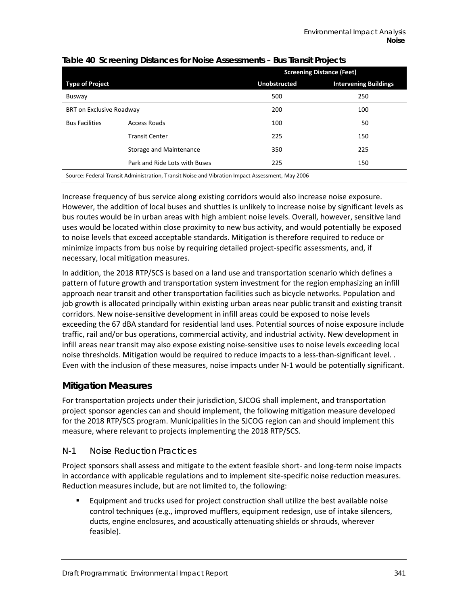|                                                                                                 |                               | <b>Screening Distance (Feet)</b> |                              |  |
|-------------------------------------------------------------------------------------------------|-------------------------------|----------------------------------|------------------------------|--|
| <b>Type of Project</b>                                                                          |                               | <b>Unobstructed</b>              | <b>Intervening Buildings</b> |  |
| Busway                                                                                          | 500                           |                                  | 250                          |  |
| <b>BRT on Exclusive Roadway</b>                                                                 |                               | 200                              | 100                          |  |
| <b>Bus Facilities</b>                                                                           | Access Roads                  | 100                              | 50                           |  |
|                                                                                                 | <b>Transit Center</b>         | 225                              | 150                          |  |
|                                                                                                 | Storage and Maintenance       | 350                              | 225                          |  |
|                                                                                                 | Park and Ride Lots with Buses | 225                              | 150                          |  |
| Source: Federal Transit Administration, Transit Noise and Vibration Impact Assessment, May 2006 |                               |                                  |                              |  |

#### <span id="page-16-0"></span>**Table 40 Screening Distances for Noise Assessments – Bus Transit Projects**

Increase frequency of bus service along existing corridors would also increase noise exposure. However, the addition of local buses and shuttles is unlikely to increase noise by significant levels as bus routes would be in urban areas with high ambient noise levels. Overall, however, sensitive land uses would be located within close proximity to new bus activity, and would potentially be exposed to noise levels that exceed acceptable standards. Mitigation is therefore required to reduce or minimize impacts from bus noise by requiring detailed project-specific assessments, and, if necessary, local mitigation measures.

In addition, the 2018 RTP/SCS is based on a land use and transportation scenario which defines a pattern of future growth and transportation system investment for the region emphasizing an infill approach near transit and other transportation facilities such as bicycle networks. Population and job growth is allocated principally within existing urban areas near public transit and existing transit corridors. New noise-sensitive development in infill areas could be exposed to noise levels exceeding the 67 dBA standard for residential land uses. Potential sources of noise exposure include traffic, rail and/or bus operations, commercial activity, and industrial activity. New development in infill areas near transit may also expose existing noise-sensitive uses to noise levels exceeding local noise thresholds. Mitigation would be required to reduce impacts to a less-than-significant level. . Even with the inclusion of these measures, noise impacts under N-1 would be potentially significant.

#### **Mitigation Measures**

For transportation projects under their jurisdiction, SJCOG shall implement, and transportation project sponsor agencies can and should implement, the following mitigation measure developed for the 2018 RTP/SCS program. Municipalities in the SJCOG region can and should implement this measure, where relevant to projects implementing the 2018 RTP/SCS.

#### *N-1 Noise Reduction Practices*

Project sponsors shall assess and mitigate to the extent feasible short- and long-term noise impacts in accordance with applicable regulations and to implement site-specific noise reduction measures. Reduction measures include, but are not limited to, the following:

 Equipment and trucks used for project construction shall utilize the best available noise control techniques (e.g., improved mufflers, equipment redesign, use of intake silencers, ducts, engine enclosures, and acoustically attenuating shields or shrouds, wherever feasible).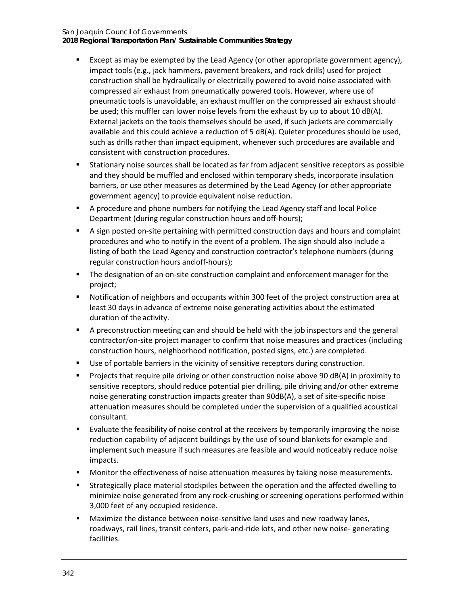#### San Joaquin Council of Governments

**2018 Regional Transportation Plan/ Sustainable Communities Strategy**

- Except as may be exempted by the Lead Agency (or other appropriate government agency), impact tools (e.g., jack hammers, pavement breakers, and rock drills) used for project construction shall be hydraulically or electrically powered to avoid noise associated with compressed air exhaust from pneumatically powered tools. However, where use of pneumatic tools is unavoidable, an exhaust muffler on the compressed air exhaust should be used; this muffler can lower noise levels from the exhaust by up to about 10 dB(A). External jackets on the tools themselves should be used, if such jackets are commercially available and this could achieve a reduction of 5 dB(A). Quieter procedures should be used, such as drills rather than impact equipment, whenever such procedures are available and consistent with construction procedures.
- Stationary noise sources shall be located as far from adjacent sensitive receptors as possible and they should be muffled and enclosed within temporary sheds, incorporate insulation barriers, or use other measures as determined by the Lead Agency (or other appropriate government agency) to provide equivalent noise reduction.
- A procedure and phone numbers for notifying the Lead Agency staff and local Police Department (during regular construction hours and off-hours);
- A sign posted on-site pertaining with permitted construction days and hours and complaint procedures and who to notify in the event of a problem. The sign should also include a listing of both the Lead Agency and construction contractor's telephone numbers (during regular construction hours andoff-hours);
- The designation of an on-site construction complaint and enforcement manager for the project;
- Notification of neighbors and occupants within 300 feet of the project construction area at least 30 days in advance of extreme noise generating activities about the estimated duration of the activity.
- A preconstruction meeting can and should be held with the job inspectors and the general contractor/on-site project manager to confirm that noise measures and practices (including construction hours, neighborhood notification, posted signs, etc.) are completed.
- Use of portable barriers in the vicinity of sensitive receptors during construction.
- Projects that require pile driving or other construction noise above 90 dB(A) in proximity to sensitive receptors, should reduce potential pier drilling, pile driving and/or other extreme noise generating construction impacts greater than 90dB(A), a set of site-specific noise attenuation measures should be completed under the supervision of a qualified acoustical consultant.
- Evaluate the feasibility of noise control at the receivers by temporarily improving the noise reduction capability of adjacent buildings by the use of sound blankets for example and implement such measure if such measures are feasible and would noticeably reduce noise impacts.
- **Monitor the effectiveness of noise attenuation measures by taking noise measurements.**
- Strategically place material stockpiles between the operation and the affected dwelling to minimize noise generated from any rock-crushing or screening operations performed within 3,000 feet of any occupied residence.
- Maximize the distance between noise-sensitive land uses and new roadway lanes, roadways, rail lines, transit centers, park-and-ride lots, and other new noise- generating facilities.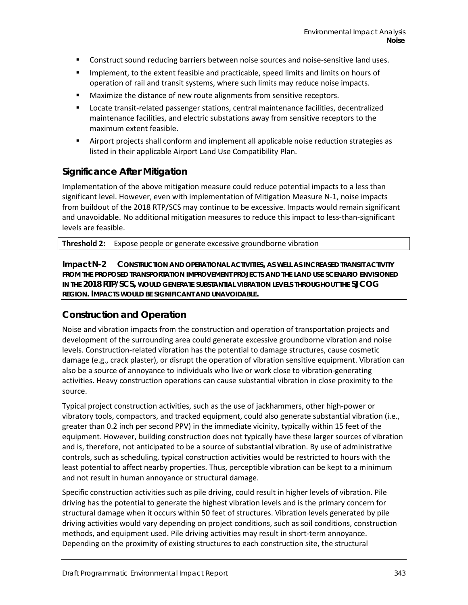- Construct sound reducing barriers between noise sources and noise-sensitive land uses.
- Implement, to the extent feasible and practicable, speed limits and limits on hours of operation of rail and transit systems, where such limits may reduce noise impacts.
- **Maximize the distance of new route alignments from sensitive receptors.**
- Locate transit-related passenger stations, central maintenance facilities, decentralized maintenance facilities, and electric substations away from sensitive receptors to the maximum extent feasible.
- Airport projects shall conform and implement all applicable noise reduction strategies as listed in their applicable Airport Land Use Compatibility Plan.

#### **Significance After Mitigation**

Implementation of the above mitigation measure could reduce potential impacts to a less than significant level. However, even with implementation of Mitigation Measure N-1, noise impacts from buildout of the 2018 RTP/SCS may continue to be excessive. Impacts would remain significant and unavoidable. No additional mitigation measures to reduce this impact to less-than-significant levels are feasible.

**Threshold 2:** Expose people or generate excessive groundborne vibration

**Impact N-2 CONSTRUCTION AND OPERATIONAL ACTIVITIES, AS WELL AS INCREASED TRANSIT ACTIVITY FROM THE PROPOSED TRANSPORTATION IMPROVEMENT PROJECTS AND THE LAND USE SCENARIO ENVISIONED IN THE 2018 RTP/SCS, WOULD GENERATE SUBSTANTIAL VIBRATION LEVELS THROUGHOUT THE SJCOG REGION. IMPACTS WOULD BE SIGNIFICANT AND UNAVOIDABLE***.*

#### **Construction and Operation**

Noise and vibration impacts from the construction and operation of transportation projects and development of the surrounding area could generate excessive groundborne vibration and noise levels. Construction-related vibration has the potential to damage structures, cause cosmetic damage (e.g., crack plaster), or disrupt the operation of vibration sensitive equipment. Vibration can also be a source of annoyance to individuals who live or work close to vibration-generating activities. Heavy construction operations can cause substantial vibration in close proximity to the source.

Typical project construction activities, such as the use of jackhammers, other high-power or vibratory tools, compactors, and tracked equipment, could also generate substantial vibration (i.e., greater than 0.2 inch per second PPV) in the immediate vicinity, typically within 15 feet of the equipment. However, building construction does not typically have these larger sources of vibration and is, therefore, not anticipated to be a source of substantial vibration. By use of administrative controls, such as scheduling, typical construction activities would be restricted to hours with the least potential to affect nearby properties. Thus, perceptible vibration can be kept to a minimum and not result in human annoyance or structural damage.

Specific construction activities such as pile driving, could result in higher levels of vibration. Pile driving has the potential to generate the highest vibration levels and is the primary concern for structural damage when it occurs within 50 feet of structures. Vibration levels generated by pile driving activities would vary depending on project conditions, such as soil conditions, construction methods, and equipment used. Pile driving activities may result in short-term annoyance. Depending on the proximity of existing structures to each construction site, the structural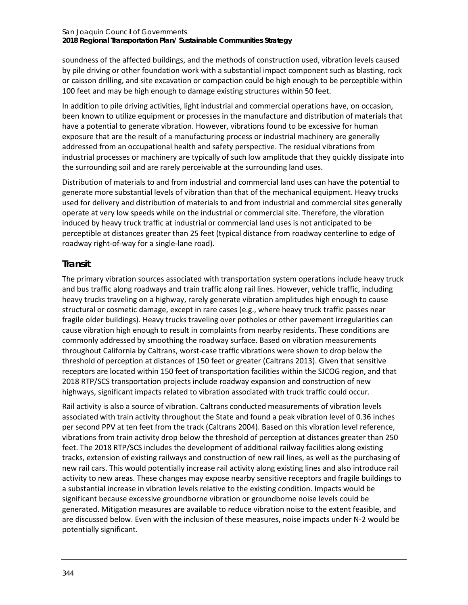soundness of the affected buildings, and the methods of construction used, vibration levels caused by pile driving or other foundation work with a substantial impact component such as blasting, rock or caisson drilling, and site excavation or compaction could be high enough to be perceptible within 100 feet and may be high enough to damage existing structures within 50 feet.

In addition to pile driving activities, light industrial and commercial operations have, on occasion, been known to utilize equipment or processes in the manufacture and distribution of materials that have a potential to generate vibration. However, vibrations found to be excessive for human exposure that are the result of a manufacturing process or industrial machinery are generally addressed from an occupational health and safety perspective. The residual vibrations from industrial processes or machinery are typically of such low amplitude that they quickly dissipate into the surrounding soil and are rarely perceivable at the surrounding land uses.

Distribution of materials to and from industrial and commercial land uses can have the potential to generate more substantial levels of vibration than that of the mechanical equipment. Heavy trucks used for delivery and distribution of materials to and from industrial and commercial sites generally operate at very low speeds while on the industrial or commercial site. Therefore, the vibration induced by heavy truck traffic at industrial or commercial land uses is not anticipated to be perceptible at distances greater than 25 feet (typical distance from roadway centerline to edge of roadway right-of-way for a single-lane road).

### **Transit**

The primary vibration sources associated with transportation system operations include heavy truck and bus traffic along roadways and train traffic along rail lines. However, vehicle traffic, including heavy trucks traveling on a highway, rarely generate vibration amplitudes high enough to cause structural or cosmetic damage, except in rare cases (e.g., where heavy truck traffic passes near fragile older buildings). Heavy trucks traveling over potholes or other pavement irregularities can cause vibration high enough to result in complaints from nearby residents. These conditions are commonly addressed by smoothing the roadway surface. Based on vibration measurements throughout California by Caltrans, worst-case traffic vibrations were shown to drop below the threshold of perception at distances of 150 feet or greater (Caltrans 2013). Given that sensitive receptors are located within 150 feet of transportation facilities within the SJCOG region, and that 2018 RTP/SCS transportation projects include roadway expansion and construction of new highways, significant impacts related to vibration associated with truck traffic could occur.

Rail activity is also a source of vibration. Caltrans conducted measurements of vibration levels associated with train activity throughout the State and found a peak vibration level of 0.36 inches per second PPV at ten feet from the track (Caltrans 2004). Based on this vibration level reference, vibrations from train activity drop below the threshold of perception at distances greater than 250 feet. The 2018 RTP/SCS includes the development of additional railway facilities along existing tracks, extension of existing railways and construction of new rail lines, as well as the purchasing of new rail cars. This would potentially increase rail activity along existing lines and also introduce rail activity to new areas. These changes may expose nearby sensitive receptors and fragile buildings to a substantial increase in vibration levels relative to the existing condition. Impacts would be significant because excessive groundborne vibration or groundborne noise levels could be generated. Mitigation measures are available to reduce vibration noise to the extent feasible, and are discussed below. Even with the inclusion of these measures, noise impacts under N-2 would be potentially significant.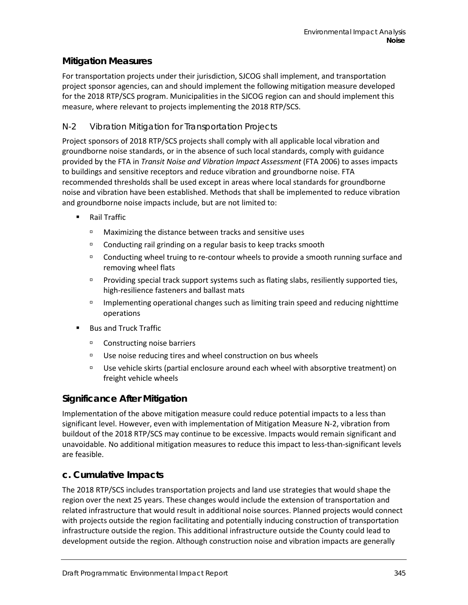#### **Mitigation Measures**

For transportation projects under their jurisdiction, SJCOG shall implement, and transportation project sponsor agencies, can and should implement the following mitigation measure developed for the 2018 RTP/SCS program. Municipalities in the SJCOG region can and should implement this measure, where relevant to projects implementing the 2018 RTP/SCS.

#### *N-2 Vibration Mitigation for Transportation Projects*

Project sponsors of 2018 RTP/SCS projects shall comply with all applicable local vibration and groundborne noise standards, or in the absence of such local standards, comply with guidance provided by the FTA in *Transit Noise and Vibration Impact Assessment* (FTA 2006) to asses impacts to buildings and sensitive receptors and reduce vibration and groundborne noise. FTA recommended thresholds shall be used except in areas where local standards for groundborne noise and vibration have been established. Methods that shall be implemented to reduce vibration and groundborne noise impacts include, but are not limited to:

- Rail Traffic
	- Maximizing the distance between tracks and sensitive uses
	- $\Box$  Conducting rail grinding on a regular basis to keep tracks smooth
	- Conducting wheel truing to re-contour wheels to provide a smooth running surface and removing wheel flats
	- **Providing special track support systems such as flating slabs, resiliently supported ties,** high-resilience fasteners and ballast mats
	- **Implementing operational changes such as limiting train speed and reducing nighttime** operations
- Bus and Truck Traffic
	- Constructing noise barriers
	- $\Box$  Use noise reducing tires and wheel construction on bus wheels
	- Use vehicle skirts (partial enclosure around each wheel with absorptive treatment) on freight vehicle wheels

### **Significance After Mitigation**

Implementation of the above mitigation measure could reduce potential impacts to a less than significant level. However, even with implementation of Mitigation Measure N-2, vibration from buildout of the 2018 RTP/SCS may continue to be excessive. Impacts would remain significant and unavoidable. No additional mitigation measures to reduce this impact to less-than-significant levels are feasible.

### **c. Cumulative Impacts**

The 2018 RTP/SCS includes transportation projects and land use strategies that would shape the region over the next 25 years. These changes would include the extension of transportation and related infrastructure that would result in additional noise sources. Planned projects would connect with projects outside the region facilitating and potentially inducing construction of transportation infrastructure outside the region. This additional infrastructure outside the County could lead to development outside the region. Although construction noise and vibration impacts are generally